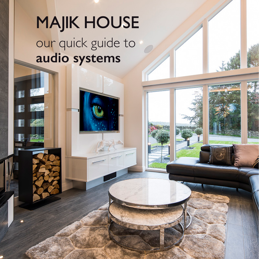# **MAJIK HOUSE** our quick guide to **audio systems**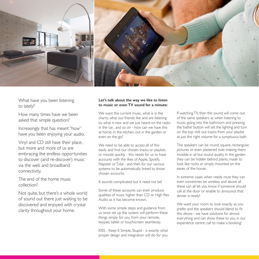

What have you been listening to lately?

How many times have we been asked that simple question?

Increasingly that has meant "how" have you been enjoying your audio.

Vinyl and CD still have their place, but more and more of us are embracing the endless opportunities to discover (and re-discover) music via the web and broadband connectivity.

The end of the home music collection?

Not quite, but there's a whole world of sound out there just waiting to be discovered and enjoyed with crystal clarity throughout your home.

#### **Let's talk about the way we like to listen to music or even TV sound for a minute:**

We want the current music, what is in the charts, what our friends like and are listening to, what is new and we just heard on the radio in the car... and so on - how can we have this at home, in the kitchen, out in the garden or even on the go?

We need to be able to access all of this easily and find our chosen tracks or playlists or moods quickly - this needs for us to have accounts with the likes of Apple, Spotify, Napster or Tidal - and then for our various systems to be automatically linked to those chosen accounts.

It sounds complicated but it need not be!

Some of these accounts can even produce qualities of music higher than CD or High Res Audio as it has become known.

With some simple steps and guidance from us once set up the system will perform these things simply for you from your remote, keypad, tablet or touchscreen seamlessly.

KISS - Keep It Simple, Stupid - is exactly what proper design and integration will do for you. If watching TV, then the sound will come out of the same speakers as when listening to music; going into the bathroom and pressing the 'bathe' button will set the lighting and turn on the top chill out tracks from your playlist at just the right volume for a sumptuous bath.

The speakers can be round, square, rectangular, pictures or even plastered over making them invisible in all but sound quality. In the garden they can be hidden behind plants, made to look like rocks or simply mounted on the eaves of the house.

In extreme cases when needs must they can even sometimes be wireless and above all these can all let you know if someone should call at the door or enable to announce that dinner is ready!

We want your room to look exactly as you prefer and the speakers should blend to fit this desire - we have solutions for almost everything and can show these to you in our experience centre, call to make a booking!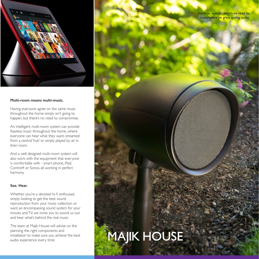

#### **Multi-room means multi-music.**

Having everyone agree on the same music throughout the home simply isn't going to happen, but there's no need to compromise.

An intelligent multi-room system can provide flawless music throughout the home, where everyone can hear what they want, streamed from a central 'hub' or simply played by air in their room.

And a well designed multi-room system will also work with the equipment that everyone is comfortable with - smart phone, iPad, Control4 or Sonos, all working in perfect harmony.

#### **See. Hear.**

Whether you're a devoted hi-fi enthusiast, simply looking to get the best sound reproduction from your music collection or want an encompassing sound system for your movies and TV, we invite you to sound us out and hear what's behind the real music.

The team at Majik House will advise on the planning, the right components and installation to make sure you achieve the best audio experience every time.

Inside or outside, there's no need to compromise on great quality audio.

### **MAJIK HOUSE**